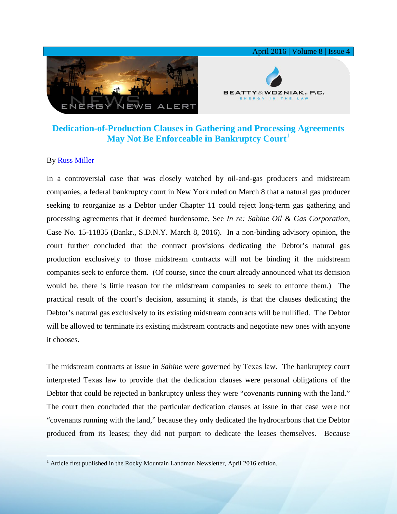

## **Dedication-of-Production Clauses in Gathering and Processing Agreements May Not Be Enforceable in Bankruptcy Court**<sup>[1](#page-0-0)</sup>

## By [Russ Miller](http://www.bwenergylaw.com/#!russ-miller/cbep)

In a controversial case that was closely watched by oil-and-gas producers and midstream companies, a federal bankruptcy court in New York ruled on March 8 that a natural gas producer seeking to reorganize as a Debtor under Chapter 11 could reject long-term gas gathering and processing agreements that it deemed burdensome, See *In re: Sabine Oil & Gas Corporation*, Case No. 15-11835 (Bankr., S.D.N.Y. March 8, 2016). In a non-binding advisory opinion, the court further concluded that the contract provisions dedicating the Debtor's natural gas production exclusively to those midstream contracts will not be binding if the midstream companies seek to enforce them. (Of course, since the court already announced what its decision would be, there is little reason for the midstream companies to seek to enforce them.) The practical result of the court's decision, assuming it stands, is that the clauses dedicating the Debtor's natural gas exclusively to its existing midstream contracts will be nullified. The Debtor will be allowed to terminate its existing midstream contracts and negotiate new ones with anyone it chooses.

The midstream contracts at issue in *Sabine* were governed by Texas law. The bankruptcy court interpreted Texas law to provide that the dedication clauses were personal obligations of the Debtor that could be rejected in bankruptcy unless they were "covenants running with the land." The court then concluded that the particular dedication clauses at issue in that case were not "covenants running with the land," because they only dedicated the hydrocarbons that the Debtor produced from its leases; they did not purport to dedicate the leases themselves. Because

<span id="page-0-0"></span><sup>&</sup>lt;sup>1</sup> Article first published in the Rocky Mountain Landman Newsletter, April 2016 edition.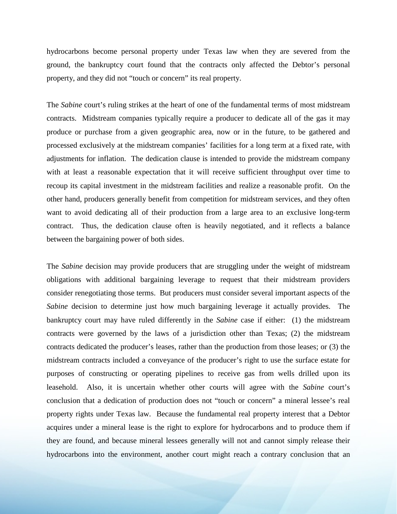hydrocarbons become personal property under Texas law when they are severed from the ground, the bankruptcy court found that the contracts only affected the Debtor's personal property, and they did not "touch or concern" its real property.

The *Sabine* court's ruling strikes at the heart of one of the fundamental terms of most midstream contracts. Midstream companies typically require a producer to dedicate all of the gas it may produce or purchase from a given geographic area, now or in the future, to be gathered and processed exclusively at the midstream companies' facilities for a long term at a fixed rate, with adjustments for inflation. The dedication clause is intended to provide the midstream company with at least a reasonable expectation that it will receive sufficient throughput over time to recoup its capital investment in the midstream facilities and realize a reasonable profit. On the other hand, producers generally benefit from competition for midstream services, and they often want to avoid dedicating all of their production from a large area to an exclusive long-term contract. Thus, the dedication clause often is heavily negotiated, and it reflects a balance between the bargaining power of both sides.

The *Sabine* decision may provide producers that are struggling under the weight of midstream obligations with additional bargaining leverage to request that their midstream providers consider renegotiating those terms. But producers must consider several important aspects of the *Sabine* decision to determine just how much bargaining leverage it actually provides. The bankruptcy court may have ruled differently in the *Sabine* case if either: (1) the midstream contracts were governed by the laws of a jurisdiction other than Texas; (2) the midstream contracts dedicated the producer's leases, rather than the production from those leases; or (3) the midstream contracts included a conveyance of the producer's right to use the surface estate for purposes of constructing or operating pipelines to receive gas from wells drilled upon its leasehold. Also, it is uncertain whether other courts will agree with the *Sabine* court's conclusion that a dedication of production does not "touch or concern" a mineral lessee's real property rights under Texas law. Because the fundamental real property interest that a Debtor acquires under a mineral lease is the right to explore for hydrocarbons and to produce them if they are found, and because mineral lessees generally will not and cannot simply release their hydrocarbons into the environment, another court might reach a contrary conclusion that an